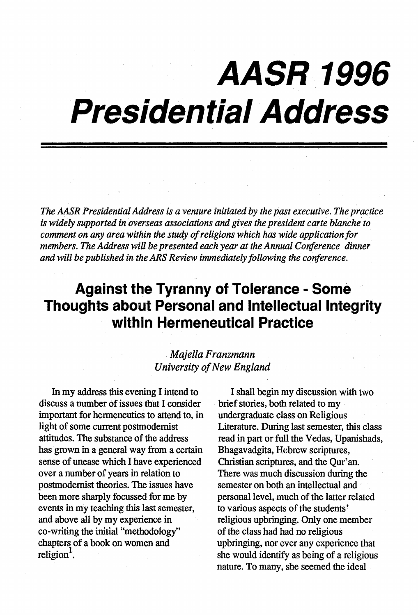## **AASR 1996 Presidential Address**

*The AASR Presidential Address is a venture initiated by the past executive. The practice*  is *widely supported in overseas associations and gives the president carte blanche to comment on any area within the study of religions which has wide application for members. The Address will be presented each year at the Annual Conference dinner and will be published in the ARS Review immediately following the conference.* 

## **Against the Tyranny of Tolerance - Some Thoughts about Personal and Intellectual Integrity within Hermeneutical Practice**

## *Majella Franzmann University of New England*

In my address this evening I intend to discuss a number of issues that I consider important for hermeneutics to attend to, in light of some current postmodemist attitudes. The substance of the address has grown in a general way from a certain sense of unease which I have experienced over a number of years in relation to postmodemist theories. The issues have been more sharply focussed for me by events in my teaching this last semester, and above all by my experience in co-writing the initial "methodology" chapters of a book on women and religion<sup>1</sup>.

I shall begin my discussion with two . brief stories, both related to my undergraduate class on Religious Literature. During last semester, this class read in part or full the Vedas, Upanishads, Bhagavadgita, Hebrew scriptures, Christian scriptures, and the Qur'an. There was much discussion during the semester on both an intellectual and personal level, much of the latter related to various aspects of the students' religious upbringing. Only one member of the class had had no religious upbringing, nor ever any experience that she would identify as being of a religious nature. To many, she seemed the ideal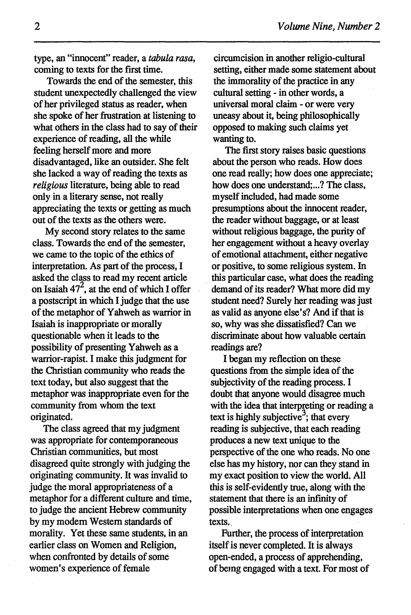type, an "innocent" reader, a *tabula rasa,*  coming to texts for the first time.

Towards the end of the semester, this student unexpectedly challenged the view of her privileged status as reader, when she spoke of her frustration at listening to what others in the class had to say of their experience of reading, all the while feeling herself more and more disadvantaged, like an outsider. She felt she lacked a way of reading the texts as *religious* literature, being able to read only in a literary sense, not really appreciating the texts or getting as much out of the texts as the others were.

My second story relates to the same class. Towards the end of the semester, we came to the topic of the ethics of interpretation. As part of the process, I asked the class to read my recent article on Isaiah  $47^2$ , at the end of which I offer a postscript in which I judge that the use of the metaphor of Yahweh as warrior in Isaiah is inappropriate or morally questionable when it leads to the possibility of presenting Yahweh as a warrior-rapist. I make this judgment for the Christian community who reads the text today, but also suggest that the metaphor was inappropriate even for the community from whom the text originated.

The class agreed that my judgment was appropriate for contemporaneous Christian communities, but most disagreed quite strongly with judging the originating community. It was invalid to judge the moral appropriateness of a metaphor for a different culture and time, to judge the ancient Hebrew community by my modem Western standards of morality. Yet these same students, in an earlier class on Women and Religion, when confronted by details of some women's experience of female

circumcision in another religio-cultural setting, either made some statement about the immorality of the practice in any cultural setting - in other words, a universal moral claim - or were very uneasy about it, being philosophically opposed to making such claims yet wanting to.

The first story raises basic questions about the person who reads. How does one read really; how does one appreciate; how does one understand;...? The class, myself included, had made some presumptions about the innocent reader, the reader without baggage, or at least without religious baggage, the purity of her engagement without a heavy overlay of emotional attachment, either negative or positive, to some religious system. In . this particular case, what does the reading demand of its reader? What more did my student need? Surely her reading was just as valid as anyone else's? And if that is so, why was she dissatisfied? Can we discriminate about how valuable certain readings are?

I began my reflection on these questions from the simple idea of the subjectivity of the reading process. I doubt that anyone would disagree much with the idea that interpreting or reading a text is highly subjective<sup>3</sup>; that every reading is subjective, that each reading produces a new text unique to the perspective of the one who reads. No one else has my history, nor can they stand in my exact position to view the world. All this is self-evidently true, along with the statement that there is an infinity of possible interpretations when one engages texts.

Further, the process of interpretation itself is never completed. It is always open-ended, a process of apprehending, of being engaged with a text. For most of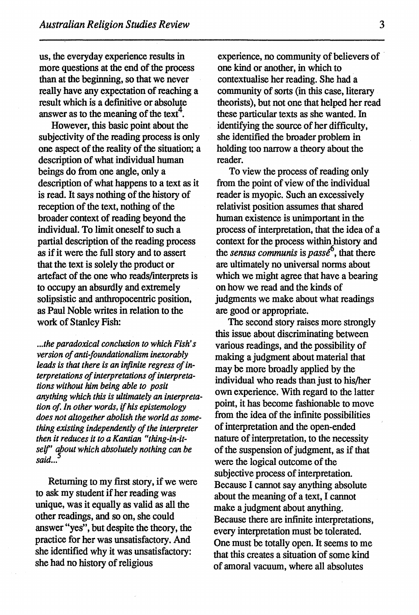us, the everyday experience results in more questions at the end of the process than at the beginning, so that we never really have any expectation of reaching a result which is a definitive or absolute answer as to the meaning of the text<sup>4</sup>.

However, this basic point about the subjectivity of the reading process is only one aspect of the reality of the situation; a description of what individual human beings do from one angle, only a description of what happens to a text as it is read. It says nothing of the history of reception of the text, nothing of the broader context of reading beyond the individual. To limit oneself to such a partial description of the reading process as if it were the full story and to assert that the text is solely the product or artefact of the one who reads/interprets is to occupy an absurdly and extremely solipsistic and anthropocentric position, as Paul Noble writes in relation to the work of Stanley Fish:

*... the paradoxical conclusion to which Fish's version of anti-foundationalism inexorably leads is that there is an infinite regress of interpretations of interpretations of interpretations without him being able to posit anything which this is ultimately an interpretation of. In other words,* if *his epistemology does not altogether abolish the world as something existing independently of the interpreter then it reduces it to a Kantian "thing-in-itself' about which absolutely nothing can be said...* 

Returning to my first story, if we were to ask my student if her reading was unique, was it equally as valid as all the other readings, and so on, she could answer "yes", but despite the theory, the practice for her was unsatisfactory. And she identified why it was unsatisfactory: she had no history of religious

experience, no community of believers of one kind or another, in which to contextualise her reading. She had a community of sorts (in this case, literary theorists), but not one that helped her read these particular texts as she wanted. In identifying the source of her difficulty, she identified the broader problem in holding too narrow a theory about the reader.

To view the process of reading only from the point of view of the individual reader is myopic. Such an excessively relativist position assumes that shared human existence is unimportant in the process of interpretation, that the idea of a context for the process within history and the *sensus communis* is  $passe^6$ , that there are ultimately no universal norms about which we might agree that have a bearing on how we read and the kinds of judgments we make about what readings are good or appropriate.

The second story raises more strongly this issue about discriminating between various readings, and the possibility of making a judgment about material that may be more broadly applied by the individual who reads than just to his/her own experience. With regard to the latter point, it has become fashionable to move from the idea of the infinite possibilities of interpretation and the open-ended nature of interpretation, to the necessity of the suspension of judgment, as if that were the logical outcome of the subjective process of interpretation. Because I cannot say anything absolute about the meaning of a text, I cannot make a judgment about anything. Because there are infinite interpretations, every interpretation must be tolerated. One must be totally open. It seems to me that this creates a situation of some kind of amoral vacuum, where all absolutes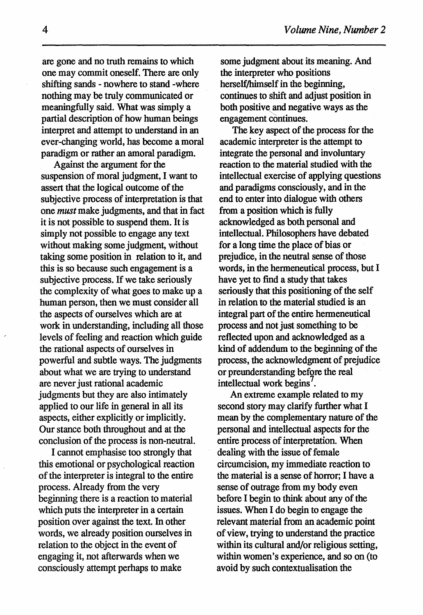are gone and no truth remains to which one may commit oneself. There are only shifting sands - nowhere to stand -where nothing may be truly communicated or meaningfully said. What was simply a partial description of how human beings interpret and attempt to understand in an ever-changing world, has become a moral paradigm or rather an amoral paradigm.

Against the argument for the suspension of moral judgment, I want to assert that the logical outcome of the subjective process of interpretation is that one *must* make judgments, and that in fact it is not possible to suspend them. It is simply not possible to engage any text without making some judgment, without taking some position in relation to it, and this is so because such engagement is a subjective process. If we take seriously the complexity of what goes to make up a human person, then we must consider all the aspects of ourselves which are at work in understanding, including all those levels of feeling and reaction which guide the rational aspects of ourselves in powerful and subtle ways. The judgments about what we are trying to understand are never just rational academic judgments but they are also intimately applied to our life in general in all its aspects, either explicitly or implicitly. Our stance both throughout and at the conclusion of the process is non-neutral.

I cannot emphasise too strongly that this emotional or psychological reaction of the interpreter is integral to the entire process. Already· from the very beginning there is a reaction to material which puts the interpreter in a certain position over against the text. In other words, we already position ourselves in relation to the object in the event of engaging it, not afterwards when we consciously attempt perhaps to make

some judgment about its meaning. And the interpreter who positions herself/himself in the beginning, continues to shift and adjust position in both positive and negative ways as the engagement continues.

The key aspect of the process for the academic interpreter is the attempt to integrate the personal and involuntary reaction to the material studied with the intellectual exercise of applying questions and paradigms consciously, and in the end to enter into dialogue with others from a position which is fully acknowledged as both personal and intellectual. Philosophers have debated for a long time the place of bias or prejudice, in the neutral sense of those words, in the hermeneutical process, but I have yet to find a study that takes seriously that this positioning of the self in relation to the material studied is an integral part of the entire hermeneutical process and not just something to be reflected upon and acknowledged as a kind of addendum to the beginning of the process, the acknowledgment of prejudice or preunderstanding before the real intellectual work begins 7 .

An extreme example related to my second story may clarify further what I mean by the complementary nature of the personal and intellectual aspects for the entire process of interpretation. When dealing with the issue of female circumcision, my immediate reaction to the material is a sense of horror; I have a sense of outrage from my body even before I begin to think about any of the issues. When I do begin to engage the relevant material from an academic point of view, trying to understand the practice within its cultural and/or religious setting, within women's experience, and so on (to avoid by such contextualisation the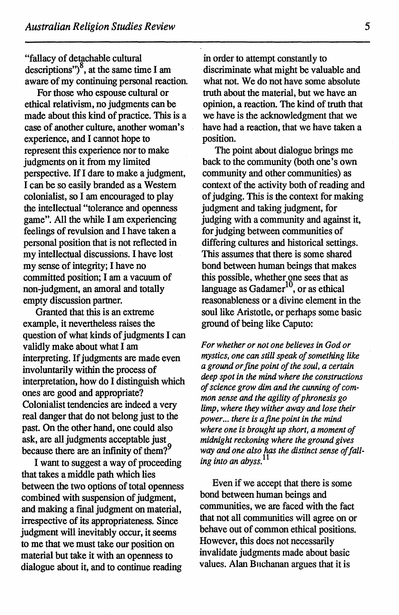"fallacy of detachable cultural descriptions") $\frac{8}{3}$ , at the same time I am aware of my continuing personal reaction.

For those who espouse cultural or ethical relativism, no judgments can be made about this kind of practice. This is a case of another culture, another woman's experience, and I cannot hope to represent this experience nor to make judgments on it from my limited perspective. If I dare to make a judgment, I can be so easily branded as a Western colonialist, so I am encouraged to play the intellectual "tolerance and openness game". All the while I am experiencing feelings of revulsion and I have taken a personal position that is not reflected in my intellectual discussions. I have lost my sense of integrity; I have no committed position; I am a vacuum of non-judgment, an amoral and totally empty discussion partner.

Granted that this is an extreme example, it nevertheless raises the question of what kinds of judgments I can validly make about what I am interpreting. If judgments are made even involuntarily within the process of interpretation, how do I distinguish which ones are good and appropriate? Colonialist tendencies are indeed a very real danger that do not belong just to the past. On the other hand, one could also ask, are all judgments acceptable just because there are an infinity of them?<sup>9</sup>

I want to suggest a way of proceeding that takes a middle path which lies between the two options of total openness combined with suspension of judgment, and making a final judgment on material, irrespective of its appropriateness. Since judgment will inevitably occur, it seems to me that we must take our position on material but take it with an openness to dialogue about it, and to continue reading

in order to attempt constantly to discriminate what might be valuable and what not. We do not have some absolute truth about the material, but we have an opinion, a reaction. The kind of truth that we have is the acknowledgment that we have had a reaction, that we have taken a position.

The point about dialogue brings me back to the community (both one's own community and other communities) as context of the activity both of reading and of judging. This is the context for making judgment and taking judgment, for judging with a community and against it, for judging between communities of differing cultures and historical settings. This assumes that there is some shared bond between human beings that makes this possible, whether one sees that as language as Gadamer<sup>10</sup>, or as ethical reasonableness or a divine element in the soul like Aristotle, or perhaps sorne basic ground of being like Caputo:

*For whether or not one believes in God or mystics, one can still speak of something like a ground or fine point of the soul, a certain deep spot in the mind where the constructions of science grow dim and the cunning of common sense and the agility of phronesis go limp, where they wither away and lose their power ... there is a fine point in the mind where one is brought up short, a moment of midnight reckoning where the ground gives way and one also has the distinct sense of falling into an abyss. <sup>11</sup>*

Even if we accept that there is some bond between human beings and communities, we are faced with the fact that not all communities will agree on or behave out of common ethical positions. However, this does not necessarily invalidate judgments made about basic values. Alan Bnchanan argues that it is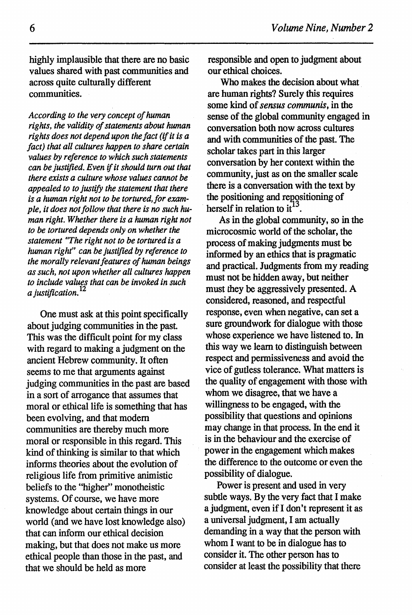highly implausible that there are no basic values shared with past communities and across quite culturally different communities.

*According to the very concept of human rights, the validity of statements about human rights does not depend upon the fact (if it is a fact) that all cultures happen to share certain values by reference to which such statements can be justified. Even* if *it should turn out that there exists a culture whose values cannot be appealed to to justify the statement that there is a human right not to be tortured, for example, it does not follow that there is no such human right. Whether there is a human right not to be tortured depends only on whether the statement* ~'The *right not to be tortured is a human right" can be justified by reference to the morally relevant features of human beings as such, not upon whether all cultures happen to include values that can be invoked in such a justification.* <sup>12</sup>

One must ask at this point specifically about judging communities in the past. This was the difficult point for my class with regard to making a judgment on the ancient Hebrew community. It often seems to me that arguments against judging communities in the past are based in a sort of arrogance that assumes that moral or ethical life is something that has been evolving, and that modern communities are thereby much more moral or responsible in this regard. This kind of thinking is similar to that which informs theories about the evolution of religious life from primitive animistic beliefs to the "higher" monotheistic systems. Of course, we have more knowledge about certain things in our world (and we have lost knowledge also) that can infonn our ethical decision making, but that does not make us more ethical people than those in the past, and that we should be held as more

responsible and open to judgment about our ethical choices.

Who makes the decision about what are human rights? Surely this requires some kind of *sensus communis,* in the sense of the global community engaged in conversation both now across cultures and with communities of the past. The scholar takes part in this larger conversation by her context within the community, just as on the smaller scale there is a conversation with the text by the positioning and repositioning of herself in relation to  $it^{\frac{13}{13}}$ .

As in the global community, so in the microcosmic world of the scholar, the process of making judgments must be infonned by an ethics that is pragmatic and practical. Judgments from my reading must not be hidden away, but neither must they be aggressively presented. A considered, reasoned, and respectful response, even when negative, can set a sure groundwork for dialogue with those whose experience we have listened to. In this way we learn to distinguish between respect and permissiveness and avoid the vice of gutless tolerance. What matters is the quality of engagement with those with whom we disagree, that we have a willingness to be engaged, with the possibility that questions and opinions may change in that process. In the end it is in the behaviour and the exercise of power in the engagement which makes the difference to the outcome or even the possibility of dialogue.

Power is present and used in very subtle ways. By the very fact that I make a judgment, even if I don't represent it as a universal judgment, I am actually demanding in a way that the person with whom I want to be in dialogue has to consider it. The other person has to consider at least the possibility that there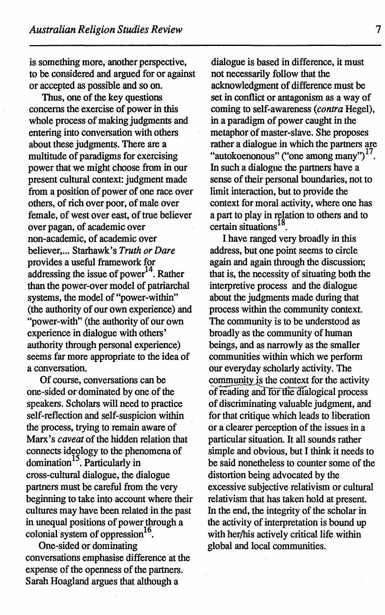is something more, another perspective, to be considered and argued for or against or accepted as possible and so on.

Thus, one of the key questions concerns the exercise of power in this whole process of making judgments and entering into conversation with others about these judgments. There are a multitude of paradigms for exercising power that we might choose from in our present cultural context: judgment made from a position of power of one race over others, of rich over poor, of male over female, of west over east, of true believer over pagan, of academic over non-academic, of academic over believer, ... Starhawk's *Truth or Dare*  provides a useful framework for addressing the issue of power<sup>14</sup>. Rather than the power-over model of patriarchal systems, the model of "power-within" (the authority of our own experience) and "power-with" (the authority of our own experience in dialogue with others' authority through personal experience) seems far more appropriate to the idea of a conversation.

Of course, conversations can be one-sided or dominated by one of the speakers. Scholars will need to practice self-reflection and self-suspicion within the process, trying to remain aware of Marx's *caveat* of the hidden relation that connects ideology to the phenomena of domination<sup>15</sup>. Particularly in cross-cultural dialogue, the dialogue partners must be careful from the very beginning to take into account where their cultures may have been related in the past in unequal positions of power through a colonial system of oppression $^{16}$ .

One-sided or dominating conversations emphasise difference at the expense of the openness of the partners. Sarah Hoagland argues that although a

dialogue is based in difference, it must not necessarily follow that the acknowledgment of difference must be set in conflict or antagonism as a way of coming to self-awareness *(contra* Hegel), in a paradigm of power caught in the metaphor of master-slave. She proposes rather a dialogue in which the partners are "autokoenonous" ("one among many")<sup>17</sup>. In such a dialogue the partners have a sense of their personal boundaries, not to limit interaction, but to provide the context for moral activity, where one has a part to play in relation to others and to certain situations<sup>18</sup>

I have ranged very broadly in this address, but one point seems to circle again and again through the discussion; that is, the necessity of situating both the interpretive process and the dialogue about the judgments made during that process within the community context. The community is to be understood as broadly as the community of human beings, and as narrowly as the smaller communities within which we perform our everyday scholarly activity. The community is the context for the activity of reading and for the dialogical process of discriminating valuable judgment, and for that critique which leads to liberation or a clearer perception of the issues in a particular situation. It all sounds rather simple and obvious, but I think it needs to be said nonetheless to counter some of the distortion being advocated by the excessive subjective relativism or cultural relativism that has taken hold at present. In the end, the integrity of the scholar in the activity of interpretation is bound up with her/his actively critical life within global and local communities.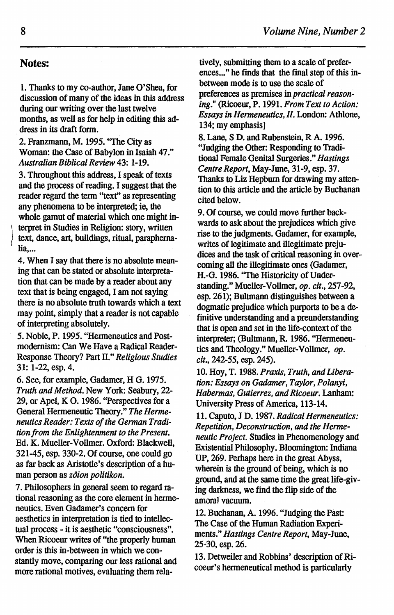## Notes:

1. Thanks to my co-author, Jane O'Shea, for discussion of many of the ideas in this address during our writing over the last twelve months, as well as for help in editing this address in its draft form.

2. Franzmann, M. 1995. ''The City as Woman: the Case of Babylon in Isaiah 47." *Australian Biblical Review* 43: 1-19.

3. Throughout this address, I speak of texts and the process of reading. I suggest that the reader regard the tenn "text" as representing any phenomena to be interpreted; ie, the whole gamut of material which one might in terpret in Studies in Religion: story, written text, dance, art, buildings, ritual, paraphernalia,...

4. When I say that there is no absolute meaning that can be stated or absolute interpretation that can be made by a reader about any text that is being engaged, I am not saying there is no absolute truth towards which a text may point, simply that a reader is not capable of interpreting absolutely.

*5.* Noble, P. 1995. "Henneneutics and Postmodernism: Can We Have a Radical Reader-Response Theory? Part II." *Religious Studies*  31: 1-22, esp. 4.

6. See, for example, Gadamer, H G. 1975. *Truth and Method.* New York: Seabury, 22- 29, or Apel, K 0. 1986. "Perspectives for a General Hermeneutic Theory." *The Hermeneutics Reader: Texts of the German Tradition from the Enlightenment to the Present.*  Ed. K. Mueller-Vollmer. Oxford: Blackwell, 321-45, esp. 330-2. Of course, one could go as far back as Aristotle's description of a human person as *zoion politikon.* 

7. Philosophers in general seem to regard rational reasoning as the core element in hermeneutics. Even Gadamer's concern for aesthetics in interpretation is tied to intellectual process- it is aesthetic "consciousness". When Ricoeur writes of "the properly human order is this in-between in which we constantly move, comparing our less rational and more rational motives, evaluating them rela-

tively, submitting them to a scale of preferences..." he finds that the final step of this inbetween mode is to use the scale of preferences as premises in *practical reasoning."* (Ricoeur, P. 1991. *From Text to Action: Essays in Hermeneutics, II.* London: Athlone, 134; my emphasis]

8. Lane, S D. and Rubenstein, R A. 1996. "Judging the Other: Responding to Traditional Female Genital Surgeries." *Hastings Centre Report,* May-June, 31-9, esp. 37. Thanks to Liz Hepburn for drawing my attention to this article and the article by Buchanan cited below.

9. Of course, we could move further backwards to ask about the prejudices which give rise to the judgments. Gadamer, for example, writes of legitimate and illegitimate prejudices and the task of critical reasoning in overcoming all the illegitimate ones (Gadamer, H.-G. 1986. ''The Historicity of Understanding." Mueller-Vollmer, *op. cit.,* 257-92, esp. 261); Bultmann distinguishes between a dogmatic prejudice which purports to be a definitive understanding and a preunderstanding that is open and set in the life-context of the interpreter; (Bultmann, R. 1986. "Hermeneutics and Theology." Mueller-Vollmer, *op. cit.,* 242-55, esp. 245).

10. Hoy, T. 1988. *Praxis, Truth, and Liberation: Essays on Gadamer, Taylor, Polanyi, Habermas, Gutierrez, and Ricoeur.* Lanham: University Press of America, 113-14.

11. Caputo, J D. 1987. *Radical Hermeneutics: Repetition, Deconstruction, and the Hermeneutic Project.* Studies in Phenomenology and Existential Philosophy. Bloomington: Indiana UP, 269. Perhaps here in the great Abyss, wherein is the ground of being, which is no ground, and at the same time the great life-giving darkness, we find the flip side of the amoral vacuum.

12. Buchanan, A. 1996. "Judging the Past: The Case of the Human Radiation Experiments." *Hastings Centre Report,* May-June, 25-30, esp. 26.

13. Detweiler and Robbins' description of Ricoeur's hermeneutical method is particularly

)